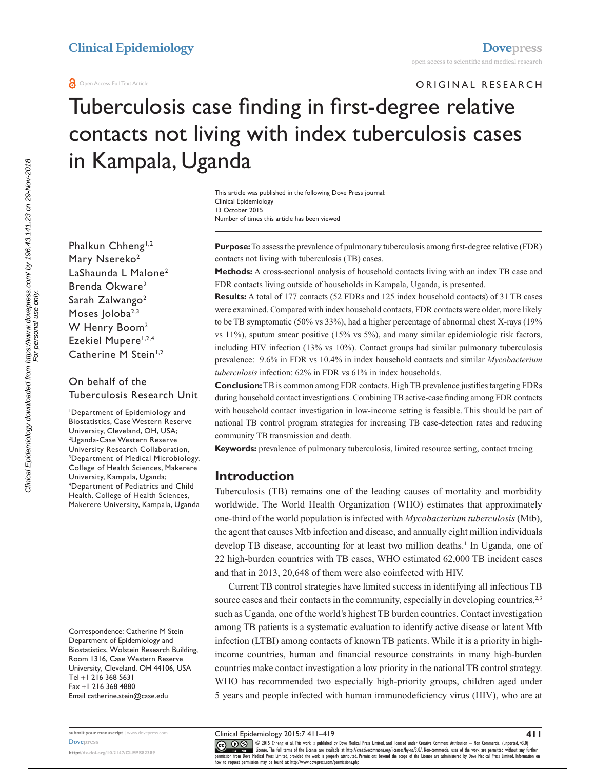#### **a** Open Access Full Text Article

ORIGINAL RESEARCH

# Tuberculosis case finding in first-degree relative contacts not living with index tuberculosis cases in Kampala, Uganda

Number of times this article has been viewed This article was published in the following Dove Press journal: Clinical Epidemiology 13 October 2015

Phalkun Chheng<sup>1,2</sup> Mary Nsereko<sup>2</sup> LaShaunda L Malone2 Brenda Okware2 Sarah Zalwango<sup>2</sup> Moses Joloba<sup>2,3</sup> W Henry Boom<sup>2</sup> Ezekiel Mupere<sup>1,2,4</sup> Catherine M Stein<sup>1,2</sup>

### On behalf of the Tuberculosis Research Unit

1 Department of Epidemiology and Biostatistics, Case Western Reserve University, Cleveland, OH, USA; 2 Uganda-Case Western Reserve University Research Collaboration, 3 Department of Medical Microbiology, College of Health Sciences, Makerere University, Kampala, Uganda; 4 Department of Pediatrics and Child Health, College of Health Sciences, Makerere University, Kampala, Uganda

Correspondence: Catherine M Stein Department of Epidemiology and Biostatistics, Wolstein Research Building, Room 1316, Case Western Reserve University, Cleveland, OH 44106, USA Tel +1 216 368 5631 Fax +1 216 368 4880 Email [catherine.stein@case.edu](mailto:catherine.stein@case.edu)

**Purpose:** To assess the prevalence of pulmonary tuberculosis among first-degree relative (FDR) contacts not living with tuberculosis (TB) cases.

**Methods:** A cross-sectional analysis of household contacts living with an index TB case and FDR contacts living outside of households in Kampala, Uganda, is presented.

**Results:** A total of 177 contacts (52 FDRs and 125 index household contacts) of 31 TB cases were examined. Compared with index household contacts, FDR contacts were older, more likely to be TB symptomatic (50% vs 33%), had a higher percentage of abnormal chest X-rays (19% vs 11%), sputum smear positive (15% vs 5%), and many similar epidemiologic risk factors, including HIV infection (13% vs 10%). Contact groups had similar pulmonary tuberculosis prevalence: 9.6% in FDR vs 10.4% in index household contacts and similar *Mycobacterium tuberculosis* infection: 62% in FDR vs 61% in index households.

**Conclusion:** TB is common among FDR contacts. High TB prevalence justifies targeting FDRs during household contact investigations. Combining TB active-case finding among FDR contacts with household contact investigation in low-income setting is feasible. This should be part of national TB control program strategies for increasing TB case-detection rates and reducing community TB transmission and death.

**Keywords:** prevalence of pulmonary tuberculosis, limited resource setting, contact tracing

# **Introduction**

Tuberculosis (TB) remains one of the leading causes of mortality and morbidity worldwide. The World Health Organization (WHO) estimates that approximately one-third of the world population is infected with *Mycobacterium tuberculosis* (Mtb), the agent that causes Mtb infection and disease, and annually eight million individuals develop TB disease, accounting for at least two million deaths.<sup>1</sup> In Uganda, one of 22 high-burden countries with TB cases, WHO estimated 62,000 TB incident cases and that in 2013, 20,648 of them were also coinfected with HIV.

Current TB control strategies have limited success in identifying all infectious TB source cases and their contacts in the community, especially in developing countries.<sup>2,3</sup> such as Uganda, one of the world's highest TB burden countries. Contact investigation among TB patients is a systematic evaluation to identify active disease or latent Mtb infection (LTBI) among contacts of known TB patients. While it is a priority in highincome countries, human and financial resource constraints in many high-burden countries make contact investigation a low priority in the national TB control strategy. WHO has recommended two especially high-priority groups, children aged under 5 years and people infected with human immunodeficiency virus (HIV), who are at

Clinical Epidemiology 2015:7 411–419

CO ODIS Chheng et al. This work is published by Dove Medical Press Limited, and licensed under Creative Commons Attribution — Non Commercial (unported, v3.0)<br> [permission from Dove M](http://www.dovepress.com/permissions.php)edical Press Limited, provided the work i how to request permission may be found at:<http://www.dovepress.com/permissions.php>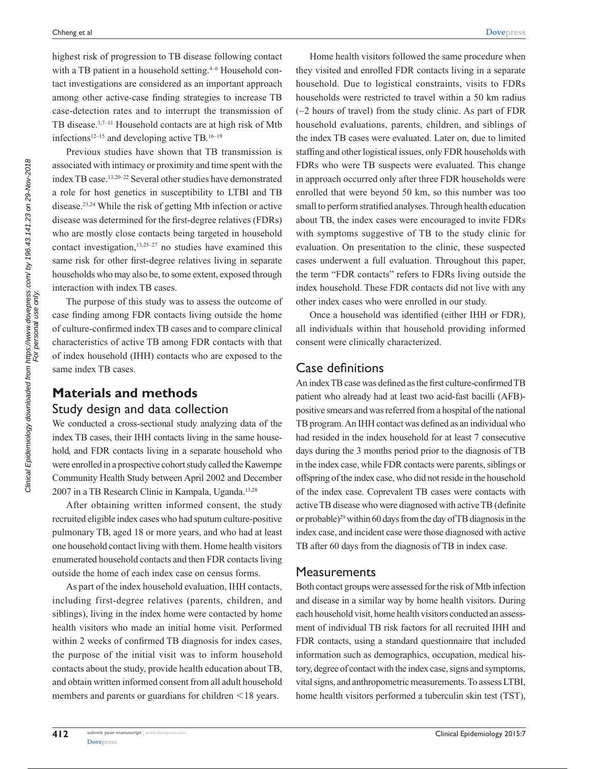highest risk of progression to TB disease following contact with a TB patient in a household setting.<sup>4-6</sup> Household contact investigations are considered as an important approach among other active-case finding strategies to increase TB case-detection rates and to interrupt the transmission of TB disease.3,7–11 Household contacts are at high risk of Mtb infections<sup>12–15</sup> and developing active TB.<sup>16–19</sup>

Previous studies have shown that TB transmission is associated with intimacy or proximity and time spent with the index TB case.13,20–22 Several other studies have demonstrated a role for host genetics in susceptibility to LTBI and TB disease.23,24 While the risk of getting Mtb infection or active disease was determined for the first-degree relatives (FDRs) who are mostly close contacts being targeted in household contact investigation, $13,25-27$  no studies have examined this same risk for other first-degree relatives living in separate households who may also be, to some extent, exposed through interaction with index TB cases.

The purpose of this study was to assess the outcome of case finding among FDR contacts living outside the home of culture-confirmed index TB cases and to compare clinical characteristics of active TB among FDR contacts with that of index household (IHH) contacts who are exposed to the same index TB cases.

# **Materials and methods** Study design and data collection

We conducted a cross-sectional study analyzing data of the index TB cases, their IHH contacts living in the same household, and FDR contacts living in a separate household who were enrolled in a prospective cohort study called the Kawempe Community Health Study between April 2002 and December 2007 in a TB Research Clinic in Kampala, Uganda.<sup>13,28</sup>

After obtaining written informed consent, the study recruited eligible index cases who had sputum culture-positive pulmonary TB, aged 18 or more years, and who had at least one household contact living with them. Home health visitors enumerated household contacts and then FDR contacts living outside the home of each index case on census forms.

As part of the index household evaluation, IHH contacts, including first-degree relatives (parents, children, and siblings), living in the index home were contacted by home health visitors who made an initial home visit. Performed within 2 weeks of confirmed TB diagnosis for index cases, the purpose of the initial visit was to inform household contacts about the study, provide health education about TB, and obtain written informed consent from all adult household members and parents or guardians for children  $\leq$ 18 years.

Home health visitors followed the same procedure when they visited and enrolled FDR contacts living in a separate household. Due to logistical constraints, visits to FDRs households were restricted to travel within a 50 km radius (∼2 hours of travel) from the study clinic. As part of FDR household evaluations, parents, children, and siblings of the index TB cases were evaluated. Later on, due to limited staffing and other logistical issues, only FDR households with FDRs who were TB suspects were evaluated. This change in approach occurred only after three FDR households were enrolled that were beyond 50 km, so this number was too small to perform stratified analyses. Through health education about TB, the index cases were encouraged to invite FDRs with symptoms suggestive of TB to the study clinic for evaluation. On presentation to the clinic, these suspected cases underwent a full evaluation. Throughout this paper, the term "FDR contacts" refers to FDRs living outside the index household. These FDR contacts did not live with any other index cases who were enrolled in our study.

Once a household was identified (either IHH or FDR), all individuals within that household providing informed consent were clinically characterized.

#### Case definitions

An index TB case was defined as the first culture-confirmed TB patient who already had at least two acid-fast bacilli (AFB) positive smears and was referred from a hospital of the national TB program. An IHH contact was defined as an individual who had resided in the index household for at least 7 consecutive days during the 3 months period prior to the diagnosis of TB in the index case, while FDR contacts were parents, siblings or offspring of the index case, who did not reside in the household of the index case. Coprevalent TB cases were contacts with active TB disease who were diagnosed with active TB (definite or probable)29 within 60 days from the day of TB diagnosis in the index case, and incident case were those diagnosed with active TB after 60 days from the diagnosis of TB in index case.

#### **Measurements**

Both contact groups were assessed for the risk of Mtb infection and disease in a similar way by home health visitors. During each household visit, home health visitors conducted an assessment of individual TB risk factors for all recruited IHH and FDR contacts, using a standard questionnaire that included information such as demographics, occupation, medical history, degree of contact with the index case, signs and symptoms, vital signs, and anthropometric measurements. To assess LTBI, home health visitors performed a tuberculin skin test (TST),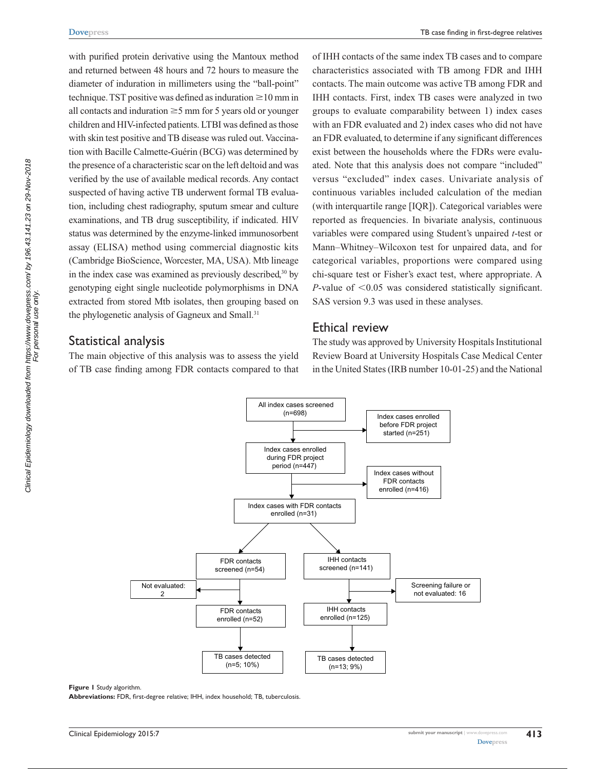with purified protein derivative using the Mantoux method and returned between 48 hours and 72 hours to measure the diameter of induration in millimeters using the "ball-point" technique. TST positive was defined as induration  $\geq 10$  mm in all contacts and induration  $\geq$ 5 mm for 5 years old or younger children and HIV-infected patients. LTBI was defined as those with skin test positive and TB disease was ruled out. Vaccination with Bacille Calmette-Guérin (BCG) was determined by the presence of a characteristic scar on the left deltoid and was verified by the use of available medical records. Any contact suspected of having active TB underwent formal TB evaluation, including chest radiography, sputum smear and culture examinations, and TB drug susceptibility, if indicated. HIV status was determined by the enzyme-linked immunosorbent assay (ELISA) method using commercial diagnostic kits (Cambridge BioScience, Worcester, MA, USA). Mtb lineage in the index case was examined as previously described,<sup>30</sup> by genotyping eight single nucleotide polymorphisms in DNA extracted from stored Mtb isolates, then grouping based on the phylogenetic analysis of Gagneux and Small.<sup>31</sup>

#### Statistical analysis

The main objective of this analysis was to assess the yield of TB case finding among FDR contacts compared to that of IHH contacts of the same index TB cases and to compare characteristics associated with TB among FDR and IHH contacts. The main outcome was active TB among FDR and IHH contacts. First, index TB cases were analyzed in two groups to evaluate comparability between 1) index cases with an FDR evaluated and 2) index cases who did not have an FDR evaluated, to determine if any significant differences exist between the households where the FDRs were evaluated. Note that this analysis does not compare "included" versus "excluded" index cases. Univariate analysis of continuous variables included calculation of the median (with interquartile range [IQR]). Categorical variables were reported as frequencies. In bivariate analysis, continuous variables were compared using Student's unpaired *t*-test or Mann–Whitney–Wilcoxon test for unpaired data, and for categorical variables, proportions were compared using chi-square test or Fisher's exact test, where appropriate. A *P*-value of <0.05 was considered statistically significant. SAS version 9.3 was used in these analyses.

## Ethical review

The study was approved by University Hospitals Institutional Review Board at University Hospitals Case Medical Center in the United States (IRB number 10-01-25) and the National



**Figure 1** Study algorithm.

**Abbreviations:** FDR, first-degree relative; IHH, index household; TB, tuberculosis.

**413**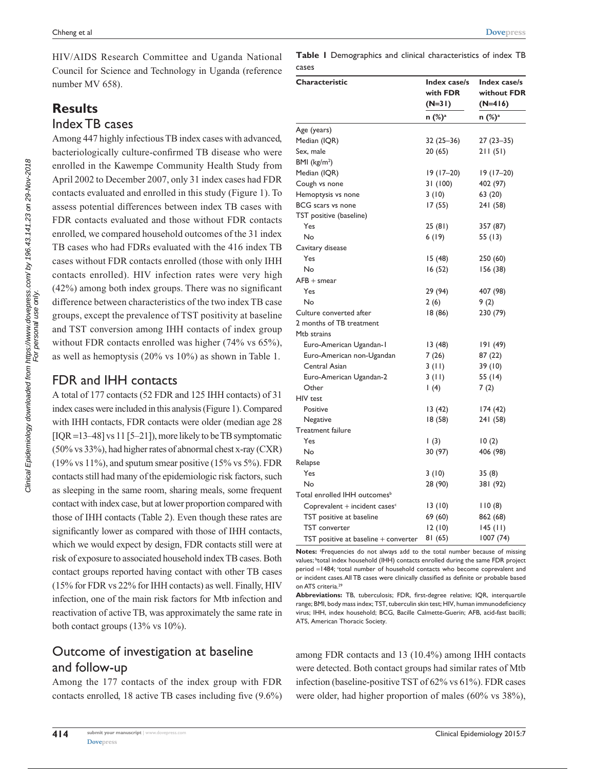HIV/AIDS Research Committee and Uganda National Council for Science and Technology in Uganda (reference number MV 658).

# **Results** Index TB cases

Among 447 highly infectious TB index cases with advanced, bacteriologically culture-confirmed TB disease who were enrolled in the Kawempe Community Health Study from April 2002 to December 2007, only 31 index cases had FDR contacts evaluated and enrolled in this study (Figure 1). To assess potential differences between index TB cases with FDR contacts evaluated and those without FDR contacts enrolled, we compared household outcomes of the 31 index TB cases who had FDRs evaluated with the 416 index TB cases without FDR contacts enrolled (those with only IHH contacts enrolled). HIV infection rates were very high (42%) among both index groups. There was no significant difference between characteristics of the two index TB case groups, except the prevalence of TST positivity at baseline and TST conversion among IHH contacts of index group without FDR contacts enrolled was higher (74% vs 65%), as well as hemoptysis (20% vs 10%) as shown in Table 1.

# FDR and IHH contacts

A total of 177 contacts (52 FDR and 125 IHH contacts) of 31 index cases were included in this analysis (Figure 1). Compared with IHH contacts, FDR contacts were older (median age 28  $[IQR = 13-48]$  vs 11 [5-21]), more likely to be TB symptomatic (50% vs 33%), had higher rates of abnormal chest x-ray (CXR) (19% vs  $11\%$ ), and sputum smear positive (15% vs 5%). FDR contacts still had many of the epidemiologic risk factors, such as sleeping in the same room, sharing meals, some frequent contact with index case, but at lower proportion compared with those of IHH contacts (Table 2). Even though these rates are significantly lower as compared with those of IHH contacts, which we would expect by design, FDR contacts still were at risk of exposure to associated household index TB cases. Both contact groups reported having contact with other TB cases (15% for FDR vs 22% for IHH contacts) as well. Finally, HIV infection, one of the main risk factors for Mtb infection and reactivation of active TB, was approximately the same rate in both contact groups (13% vs 10%).

# Outcome of investigation at baseline and follow-up

Among the 177 contacts of the index group with FDR contacts enrolled, 18 active TB cases including five (9.6%)

**Table 1** Demographics and clinical characteristics of index TB cases

| Characteristic                           | Index case/s<br>with FDR<br>$(N=31)$ | Index case/s<br>without FDR<br>$(N=416)$<br>n (%) <sup>a</sup> |  |  |
|------------------------------------------|--------------------------------------|----------------------------------------------------------------|--|--|
|                                          | n (%) <sup>a</sup>                   |                                                                |  |  |
| Age (years)                              |                                      |                                                                |  |  |
| Median (IQR)                             | $32(25-36)$                          | $27(23-35)$                                                    |  |  |
| Sex, male                                | 20 (65)                              | 211(51)                                                        |  |  |
| BMI ( $\text{kg/m}^2$ )                  |                                      |                                                                |  |  |
| Median (IQR)                             | $19(17-20)$                          | $19(17-20)$                                                    |  |  |
| Cough vs none                            | 31 (100)                             | 402 (97)                                                       |  |  |
| Hemoptysis vs none                       | 3(10)                                | 63 (20)                                                        |  |  |
| BCG scars vs none                        | 17 (55)                              | 241 (58)                                                       |  |  |
| TST positive (baseline)                  |                                      |                                                                |  |  |
| Yes                                      | 25 (81)                              | 357 (87)                                                       |  |  |
| No                                       | 6 (19)                               | 55(13)                                                         |  |  |
| Cavitary disease                         |                                      |                                                                |  |  |
| Yes                                      | I5 (48)                              | 250 (60)                                                       |  |  |
| No                                       | 16(52)                               | 156 (38)                                                       |  |  |
| $AFB + s$ mear                           |                                      |                                                                |  |  |
| Yes                                      | 29 (94)                              | 407 (98)                                                       |  |  |
| No                                       | 2(6)                                 | 9(2)                                                           |  |  |
| Culture converted after                  | 18 (86)                              | 230 (79)                                                       |  |  |
| 2 months of TB treatment                 |                                      |                                                                |  |  |
| Mtb strains                              |                                      |                                                                |  |  |
| Euro-American Ugandan-I                  | 13(48)                               | 191 (49)                                                       |  |  |
| Euro-American non-Ugandan                | 7 (26)                               | 87 (22)                                                        |  |  |
| Central Asian                            | 3(11)                                | 39 (10)                                                        |  |  |
| Euro-American Ugandan-2                  | 3(11)                                | 55 (14)                                                        |  |  |
| Other                                    | 1(4)                                 | 7(2)                                                           |  |  |
| <b>HIV</b> test                          |                                      |                                                                |  |  |
| Positive                                 | 13 (42)                              | 174 (42)                                                       |  |  |
| Negative                                 | 18 (58)                              | 241 (58)                                                       |  |  |
| Treatment failure                        |                                      |                                                                |  |  |
| Yes                                      | 1(3)                                 | 10(2)                                                          |  |  |
| No                                       | 30 (97)                              | 406 (98)                                                       |  |  |
| Relapse                                  |                                      |                                                                |  |  |
| Yes                                      | 3(10)                                | 35(8)                                                          |  |  |
| No                                       | 28 (90)                              | 381 (92)                                                       |  |  |
| Total enrolled IHH outcomes <sup>b</sup> |                                      |                                                                |  |  |
| Coprevalent + incident cases $c$         | 13 (10)                              | 110(8)                                                         |  |  |
| TST positive at baseline                 | 69 (60)                              | 862 (68)                                                       |  |  |
| <b>TST</b> converter                     | 12(10)                               | 145 (11)                                                       |  |  |
| TST positive at baseline + converter     | 81 (65)                              | 1007 (74)                                                      |  |  |

Notes: <sup>a</sup>Frequencies do not always add to the total number because of missing values; <sup>b</sup>total index household (IHH) contacts enrolled during the same FDR project period =1484; ctotal number of household contacts who become coprevalent and or incident cases. All TB cases were clinically classified as definite or probable based on ATS criteria.<sup>29</sup>

**Abbreviations:** TB, tuberculosis; FDR, first-degree relative; IQR, interquartile range; BMI, body mass index; TST, tuberculin skin test; HIV, human immunodeficiency virus; IHH, index household; BCG, Bacille Calmette-Guerin; AFB, acid-fast bacilli; ATS, American Thoracic Society.

among FDR contacts and 13 (10.4%) among IHH contacts were detected. Both contact groups had similar rates of Mtb infection (baseline-positive TST of 62% vs 61%). FDR cases were older, had higher proportion of males (60% vs 38%),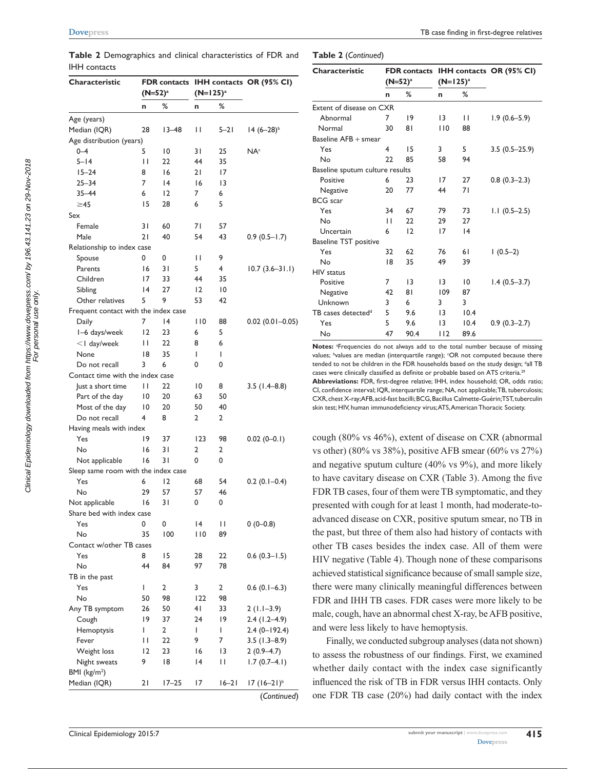| Characteristic                       |                 | <b>FDR</b> contacts<br>$(N=52)^a$ |     | $(N=125)^a$     | IHH contacts OR (95% CI) |  |
|--------------------------------------|-----------------|-----------------------------------|-----|-----------------|--------------------------|--|
|                                      | n               | ℅                                 | n   | ℅               |                          |  |
| Age (years)                          |                 |                                   |     |                 |                          |  |
| Median (IQR)                         | 28              | $13 - 48$                         | П   | $5 - 21$        | $14 (6 - 28)^{b}$        |  |
| Age distribution (years)             |                 |                                   |     |                 |                          |  |
| $0 - 4$                              | 5               | 10                                | 31  | 25              | NA <sup>c</sup>          |  |
| $5 - 14$                             | П               | 22                                | 44  | 35              |                          |  |
| $15 - 24$                            | 8               | 16                                | 21  | 17              |                          |  |
| 25–34                                | 7               | 4                                 | 16  | 13              |                          |  |
| 35-44                                | 6               | 12                                | 7   | 6               |                          |  |
| $\geq$ 45                            | 15              | 28                                | 6   | 5               |                          |  |
| Sex                                  |                 |                                   |     |                 |                          |  |
| Female                               | 31              | 60                                | 71  | 57              |                          |  |
| Male                                 | 21              | 40                                | 54  | 43              | $0.9(0.5 - 1.7)$         |  |
| Relationship to index case           |                 |                                   |     |                 |                          |  |
| Spouse                               | 0               | 0                                 | П   | 9               |                          |  |
| Parents                              | 16              | 31                                | 5   | 4               |                          |  |
|                                      |                 |                                   |     |                 | $10.7(3.6-31.1)$         |  |
| Children                             | 17              | 33                                | 44  | 35              |                          |  |
| Sibling                              | $\overline{14}$ | 27                                | 12  | $\overline{10}$ |                          |  |
| Other relatives                      | 5               | 9                                 | 53  | 42              |                          |  |
| Frequent contact with the index case |                 |                                   |     |                 |                          |  |
| Daily                                | 7               | 4                                 | 110 | 88              | $0.02$ $(0.01 - 0.05)$   |  |
| 1–6 days/week                        | 12              | 23                                | 6   | 5               |                          |  |
| $<$   day/week                       | Н               | 22                                | 8   | 6               |                          |  |
| None                                 | 18              | 35                                | ı   | I               |                          |  |
| Do not recall                        | 3               | 6                                 | 0   | 0               |                          |  |
| Contact time with the index case     |                 |                                   |     |                 |                          |  |
| Just a short time                    | Н               | 22                                | 10  | 8               | $3.5$ (1.4-8.8)          |  |
| Part of the day                      | 10              | 20                                | 63  | 50              |                          |  |
| Most of the day                      | 10              | 20                                | 50  | 40              |                          |  |
| Do not recall                        | 4               | 8                                 | 2   | 2               |                          |  |
| Having meals with index              |                 |                                   |     |                 |                          |  |
| Yes                                  | 19              | 37                                | 123 | 98              | $0.02(0-0.1)$            |  |
| No                                   | 16              | 31                                | 2   | 2               |                          |  |
| Not applicable                       | 16              | 31                                | 0   | 0               |                          |  |
| Sleep same room with the index case  |                 |                                   |     |                 |                          |  |
| Yes                                  |                 | 12                                | 68  | 54              |                          |  |
|                                      | 6               |                                   |     |                 | $0.2$ (0.1-0.4)          |  |
| No                                   | 29              | 57                                | 57  | 46              |                          |  |
| Not applicable                       | 16              | 31                                | 0   | 0               |                          |  |
| Share bed with index case            |                 |                                   |     |                 |                          |  |
| Yes                                  | 0               | 0                                 | 14  | П               | $0(0-0.8)$               |  |
| No                                   | 35              | 100                               | 110 | 89              |                          |  |
| Contact w/other TB cases             |                 |                                   |     |                 |                          |  |
| Yes                                  | 8               | 15                                | 28  | 22              | $0.6(0.3 - 1.5)$         |  |
| No                                   | 44              | 84                                | 97  | 78              |                          |  |
| TB in the past                       |                 |                                   |     |                 |                          |  |
| Yes                                  | I               | 2                                 | 3   | 2               | $0.6$ (0.1-6.3)          |  |
| No                                   | 50              | 98                                | 122 | 98              |                          |  |
| Any TB symptom                       | 26              | 50                                | 41  | 33              | $2(1.1-3.9)$             |  |
| Cough                                | 19              | 37                                | 24  | 19              | $2.4(1.2-4.9)$           |  |
| Hemoptysis                           | ı               | 2                                 | L   | L               | $2.4(0-192.4)$           |  |
| Fever                                | П               | 22                                | 9   | 7               | $3.5(1.3 - 8.9)$         |  |
| Weight loss                          | 12              | 23                                | 16  | 13              | $2(0.9-4.7)$             |  |
|                                      | 9               | 18                                | 14  |                 |                          |  |
| Night sweats                         |                 |                                   |     | П               | $1.7(0.7-4.1)$           |  |
| BMI ( $kg/m2$ )                      |                 | $17 - 25$                         | 17  | $16 - 21$       | $17 (16 - 21)^{b}$       |  |
| Median (IQR)                         | 21              |                                   |     |                 |                          |  |

| <b>Table 2</b> Demographics and clinical characteristics of FDR and |  |  |  |
|---------------------------------------------------------------------|--|--|--|
| IHH contacts                                                        |  |  |  |

**Table 2** (*Continued*)

| Characteristic                  |    | $(N=52)^a$ | $(N=125)^a$     |                | FDR contacts IHH contacts OR (95% CI) |  |
|---------------------------------|----|------------|-----------------|----------------|---------------------------------------|--|
|                                 | n  | %          | n               | ℅              |                                       |  |
| Extent of disease on CXR        |    |            |                 |                |                                       |  |
| Abnormal                        | 7  | 19         | 13              | П              | $1.9(0.6 - 5.9)$                      |  |
| Normal                          | 30 | 81         | 110             | 88             |                                       |  |
| Baseline AFB + smear            |    |            |                 |                |                                       |  |
| Yes                             | 4  | 15         | 3               | 5              | $3.5(0.5-25.9)$                       |  |
| No                              | 22 | 85         | 58              | 94             |                                       |  |
| Baseline sputum culture results |    |            |                 |                |                                       |  |
| Positive                        | 6  | 23         | 17              | 27             | $0.8(0.3-2.3)$                        |  |
| Negative                        | 20 | 77         | 44              | 71             |                                       |  |
| <b>BCG</b> scar                 |    |            |                 |                |                                       |  |
| Yes                             | 34 | 67         | 79              | 73             | $1.1(0.5-2.5)$                        |  |
| No                              | П  | 22         | 29              | 27             |                                       |  |
| Uncertain                       | 6  | 12         | 17              | 4              |                                       |  |
| <b>Baseline TST positive</b>    |    |            |                 |                |                                       |  |
| Yes                             | 32 | 62         | 76              | 61             | $1(0.5-2)$                            |  |
| Nο                              | 18 | 35         | 49              | 39             |                                       |  |
| <b>HIV</b> status               |    |            |                 |                |                                       |  |
| Positive                        | 7  | 13         | 13              | $\overline{0}$ | $1.4(0.5-3.7)$                        |  |
| Negative                        | 42 | 81         | 109             | 87             |                                       |  |
| Unknown                         | 3  | 6          | 3               | 3              |                                       |  |
| TB cases detected <sup>d</sup>  | 5  | 9.6        | $\overline{13}$ | 10.4           |                                       |  |
| Yes                             | 5  | 9.6        | $\overline{13}$ | 10.4           | $0.9(0.3-2.7)$                        |  |
| No                              | 47 | 90.4       | 112             | 89.6           |                                       |  |

Notes: <sup>a</sup>Frequencies do not always add to the total number because of missing values; bvalues are median (interquartile range); OR not computed because there tended to not be children in the FDR households based on the study design; dall TB cases were clinically classified as definite or probable based on ATS criteria.<sup>29</sup> **Abbreviations:** FDR, first-degree relative; IHH, index household; OR, odds ratio; CI, confidence interval; IQR, interquartile range; NA, not applicable; TB, tuberculosis; CXR, chest X-ray; AFB, acid-fast bacilli; BCG, Bacillus Calmette-Guérin; TST, tuberculin skin test; HIV, human immunodeficiency virus; ATS, American Thoracic Society.

cough (80% vs 46%), extent of disease on CXR (abnormal vs other) (80% vs 38%), positive AFB smear (60% vs 27%) and negative sputum culture (40% vs 9%), and more likely to have cavitary disease on CXR (Table 3). Among the five FDR TB cases, four of them were TB symptomatic, and they presented with cough for at least 1 month, had moderate-toadvanced disease on CXR, positive sputum smear, no TB in the past, but three of them also had history of contacts with other TB cases besides the index case. All of them were HIV negative (Table 4). Though none of these comparisons achieved statistical significance because of small sample size, there were many clinically meaningful differences between FDR and IHH TB cases. FDR cases were more likely to be male, cough, have an abnormal chest X-ray, be AFB positive, and were less likely to have hemoptysis.

Finally, we conducted subgroup analyses (data not shown) to assess the robustness of our findings. First, we examined whether daily contact with the index case significantly influenced the risk of TB in FDR versus IHH contacts. Only one FDR TB case (20%) had daily contact with the index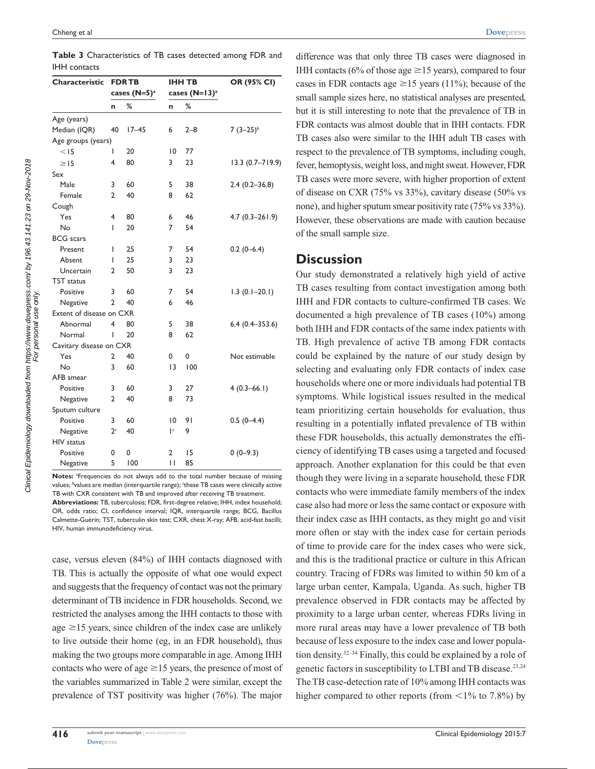Clinical Epidemiology downloaded from https://www.dovepress.com/ by 196.43.141.23 on 29-Nov-2018<br>Clinical Epidemiology downloaded from personal use only. Clinical Epidemiology downloaded from https://www.dovepress.com/ by 196.43.141.23 on 29-Nov-2018 For personal use only.

**Table 3** Characteristics of TB cases detected among FDR and IHH contacts

| Characteristic           | <b>FDRTB</b>   |                          |                           | <b>IHH TB</b>             | OR (95% CI)        |  |  |
|--------------------------|----------------|--------------------------|---------------------------|---------------------------|--------------------|--|--|
|                          |                | cases (N=5) <sup>a</sup> |                           | cases (N=13) <sup>a</sup> |                    |  |  |
|                          | n              | %                        | n                         | %                         |                    |  |  |
| Age (years)              |                |                          |                           |                           |                    |  |  |
| Median (IQR)             | 40             | $17 - 45$                | 6                         | $2 - 8$                   | $7(3-25)^{b}$      |  |  |
| Age groups (years)       |                |                          |                           |                           |                    |  |  |
| $<$ 15                   | I              | 20                       | 10                        | 77                        |                    |  |  |
| $\geq$ 15                | 4              | 80                       | 3                         | 23                        | 13.3 (0.7-719.9)   |  |  |
| Sex                      |                |                          |                           |                           |                    |  |  |
| Male                     | 3              | 60                       | 5                         | 38                        | $2.4(0.2 - 36.8)$  |  |  |
| Female                   | $\overline{2}$ | 40                       | 8                         | 62                        |                    |  |  |
| Cough                    |                |                          |                           |                           |                    |  |  |
| Yes                      | 4              | 80                       | 6                         | 46                        | $4.7(0.3 - 261.9)$ |  |  |
| No                       | I              | 20                       | 7                         | 54                        |                    |  |  |
| <b>BCG</b> scars         |                |                          |                           |                           |                    |  |  |
| Present                  | T              | 25                       | 7                         | 54                        | $0.2(0-6.4)$       |  |  |
| Absent                   | T              | 25                       | 3                         | 23                        |                    |  |  |
| Uncertain                | 2              | 50                       | 3                         | 23                        |                    |  |  |
| <b>TST</b> status        |                |                          |                           |                           |                    |  |  |
| Positive                 | 3              | 60                       | 7                         | 54                        | $1.3(0.1-20.1)$    |  |  |
| Negative                 | 2              | 40                       | 6                         | 46                        |                    |  |  |
| Extent of disease on CXR |                |                          |                           |                           |                    |  |  |
| Abnormal                 | 4              | 80                       | 5                         | 38                        | $6.4(0.4 - 353.6)$ |  |  |
| Normal                   | I              | 20                       | 8                         | 62                        |                    |  |  |
| Cavitary disease on CXR  |                |                          |                           |                           |                    |  |  |
| Yes                      | 2              | 40                       | 0                         | 0                         | Not estimable      |  |  |
| No                       | 3              | 60                       | 13                        | 100                       |                    |  |  |
| AFB smear                |                |                          |                           |                           |                    |  |  |
| Positive                 | 3              | 60                       | 3                         | 27                        | $4(0.3-66.1)$      |  |  |
| Negative                 | $\overline{2}$ | 40                       | 8                         | 73                        |                    |  |  |
| Sputum culture           |                |                          |                           |                           |                    |  |  |
| Positive                 | 3              | 60                       | 10                        | 91                        | $0.5(0-4.4)$       |  |  |
| Negative                 | 2 <sup>c</sup> | 40                       | $\mathsf{I}^{\mathsf{c}}$ | 9                         |                    |  |  |
| <b>HIV</b> status        |                |                          |                           |                           |                    |  |  |
| Positive                 | 0              | 0                        | $\overline{2}$            | 15                        | $0(0-9.3)$         |  |  |
| Negative                 | 5              | 100                      | П                         | 85                        |                    |  |  |

Notes: <sup>a</sup>Frequencies do not always add to the total number because of missing values; <sup>b</sup>values are median (interquartile range); <sup>c</sup>these TB cases were clinically active TB with CXR consistent with TB and improved after receiving TB treatment.

**Abbreviations:** TB, tuberculosis; FDR, first-degree relative; IHH, index household; OR, odds ratio; CI, confidence interval; IQR, interquartile range; BCG, Bacillus Calmette-Guérin; TST, tuberculin skin test; CXR, chest X-ray; AFB, acid-fast bacilli; HIV, human immunodeficiency virus.

case, versus eleven (84%) of IHH contacts diagnosed with TB. This is actually the opposite of what one would expect and suggests that the frequency of contact was not the primary determinant of TB incidence in FDR households. Second, we restricted the analyses among the IHH contacts to those with age  $\geq$ 15 years, since children of the index case are unlikely to live outside their home (eg, in an FDR household), thus making the two groups more comparable in age. Among IHH contacts who were of age  $\geq$ 15 years, the presence of most of the variables summarized in Table 2 were similar, except the prevalence of TST positivity was higher (76%). The major

difference was that only three TB cases were diagnosed in IHH contacts (6% of those age  $\geq$  15 years), compared to four cases in FDR contacts age  $\geq$ 15 years (11%); because of the small sample sizes here, no statistical analyses are presented, but it is still interesting to note that the prevalence of TB in FDR contacts was almost double that in IHH contacts. FDR TB cases also were similar to the IHH adult TB cases with respect to the prevalence of TB symptoms, including cough, fever, hemoptysis, weight loss, and night sweat. However, FDR TB cases were more severe, with higher proportion of extent of disease on CXR (75% vs 33%), cavitary disease (50% vs none), and higher sputum smear positivity rate (75% vs 33%). However, these observations are made with caution because of the small sample size.

#### **Discussion**

Our study demonstrated a relatively high yield of active TB cases resulting from contact investigation among both IHH and FDR contacts to culture-confirmed TB cases. We documented a high prevalence of TB cases (10%) among both IHH and FDR contacts of the same index patients with TB. High prevalence of active TB among FDR contacts could be explained by the nature of our study design by selecting and evaluating only FDR contacts of index case households where one or more individuals had potential TB symptoms. While logistical issues resulted in the medical team prioritizing certain households for evaluation, thus resulting in a potentially inflated prevalence of TB within these FDR households, this actually demonstrates the efficiency of identifying TB cases using a targeted and focused approach. Another explanation for this could be that even though they were living in a separate household, these FDR contacts who were immediate family members of the index case also had more or less the same contact or exposure with their index case as IHH contacts, as they might go and visit more often or stay with the index case for certain periods of time to provide care for the index cases who were sick, and this is the traditional practice or culture in this African country. Tracing of FDRs was limited to within 50 km of a large urban center, Kampala, Uganda. As such, higher TB prevalence observed in FDR contacts may be affected by proximity to a large urban center, whereas FDRs living in more rural areas may have a lower prevalence of TB both because of less exposure to the index case and lower population density.32–34 Finally, this could be explained by a role of genetic factors in susceptibility to LTBI and TB disease.<sup>23,24</sup> The TB case-detection rate of 10% among IHH contacts was higher compared to other reports (from  $\langle 1\%$  to 7.8%) by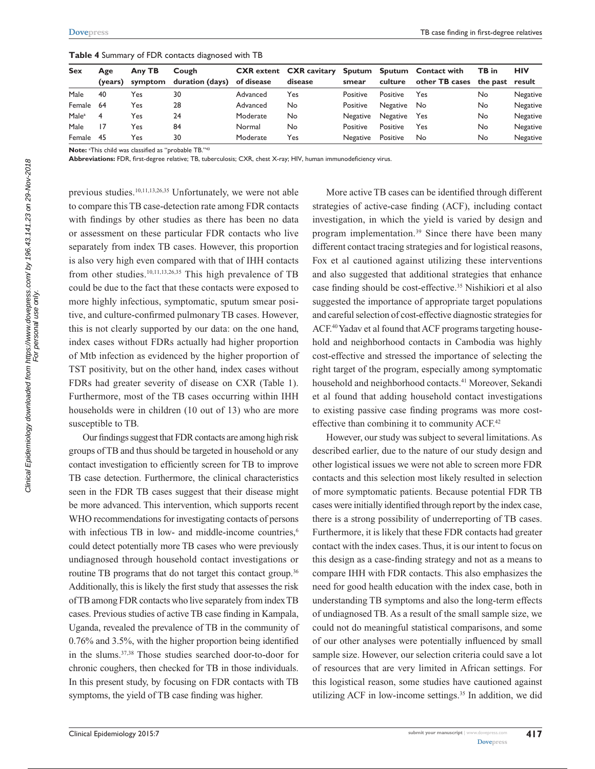| Sex               | Age     | Any TB  | Cough           |            | <b>CXR</b> extent <b>CXR</b> cavitary |                 |          | Sputum Sputum Contact with     | TB in | <b>HIV</b> |
|-------------------|---------|---------|-----------------|------------|---------------------------------------|-----------------|----------|--------------------------------|-------|------------|
|                   | (years) | symptom | duration (days) | of disease | disease                               | smear           | culture  | other TB cases the past result |       |            |
| Male              | 40      | Yes     | 30              | Advanced   | Yes                                   | Positive        | Positive | Yes                            | No    | Negative   |
| Female            | -64     | Yes     | 28              | Advanced   | No                                    | Positive        | Negative | No                             | No    | Negative   |
| Male <sup>a</sup> | 4       | Yes     | 24              | Moderate   | No                                    | <b>Negative</b> | Negative | Yes                            | No    | Negative   |
| Male              | 17      | Yes     | 84              | Normal     | No                                    | Positive        | Positive | Yes                            | No    | Negative   |
| Female            | -45     | Yes     | 30              | Moderate   | Yes                                   | <b>Negative</b> | Positive | No                             | No    | Negative   |

**Table 4** Summary of FDR contacts diagnosed with TB

Note: <sup>a</sup>This child was classified as "probable TB."<sup>43</sup>

**Abbreviations:** FDR, first-degree relative; TB, tuberculosis; CXR, chest X-ray; HIV, human immunodeficiency virus.

previous studies.10,11,13,26,35 Unfortunately, we were not able to compare this TB case-detection rate among FDR contacts with findings by other studies as there has been no data or assessment on these particular FDR contacts who live separately from index TB cases. However, this proportion is also very high even compared with that of IHH contacts from other studies.<sup>10,11,13,26,35</sup> This high prevalence of TB could be due to the fact that these contacts were exposed to more highly infectious, symptomatic, sputum smear positive, and culture-confirmed pulmonary TB cases. However, this is not clearly supported by our data: on the one hand, index cases without FDRs actually had higher proportion of Mtb infection as evidenced by the higher proportion of TST positivity, but on the other hand, index cases without FDRs had greater severity of disease on CXR (Table 1). Furthermore, most of the TB cases occurring within IHH households were in children (10 out of 13) who are more susceptible to TB.

Our findings suggest that FDR contacts are among high risk groups of TB and thus should be targeted in household or any contact investigation to efficiently screen for TB to improve TB case detection. Furthermore, the clinical characteristics seen in the FDR TB cases suggest that their disease might be more advanced. This intervention, which supports recent WHO recommendations for investigating contacts of persons with infectious TB in low- and middle-income countries, $6$ could detect potentially more TB cases who were previously undiagnosed through household contact investigations or routine TB programs that do not target this contact group.<sup>36</sup> Additionally, this is likely the first study that assesses the risk of TB among FDR contacts who live separately from index TB cases. Previous studies of active TB case finding in Kampala, Uganda, revealed the prevalence of TB in the community of 0.76% and 3.5%, with the higher proportion being identified in the slums.37,38 Those studies searched door-to-door for chronic coughers, then checked for TB in those individuals. In this present study, by focusing on FDR contacts with TB symptoms, the yield of TB case finding was higher.

More active TB cases can be identified through different strategies of active-case finding (ACF), including contact investigation, in which the yield is varied by design and program implementation.39 Since there have been many different contact tracing strategies and for logistical reasons, Fox et al cautioned against utilizing these interventions and also suggested that additional strategies that enhance case finding should be cost-effective.35 Nishikiori et al also suggested the importance of appropriate target populations and careful selection of cost-effective diagnostic strategies for ACF.<sup>40</sup> Yadav et al found that ACF programs targeting household and neighborhood contacts in Cambodia was highly cost-effective and stressed the importance of selecting the right target of the program, especially among symptomatic household and neighborhood contacts.41 Moreover, Sekandi et al found that adding household contact investigations to existing passive case finding programs was more costeffective than combining it to community ACF.42

However, our study was subject to several limitations. As described earlier, due to the nature of our study design and other logistical issues we were not able to screen more FDR contacts and this selection most likely resulted in selection of more symptomatic patients. Because potential FDR TB cases were initially identified through report by the index case, there is a strong possibility of underreporting of TB cases. Furthermore, it is likely that these FDR contacts had greater contact with the index cases. Thus, it is our intent to focus on this design as a case-finding strategy and not as a means to compare IHH with FDR contacts. This also emphasizes the need for good health education with the index case, both in understanding TB symptoms and also the long-term effects of undiagnosed TB. As a result of the small sample size, we could not do meaningful statistical comparisons, and some of our other analyses were potentially influenced by small sample size. However, our selection criteria could save a lot of resources that are very limited in African settings. For this logistical reason, some studies have cautioned against utilizing ACF in low-income settings.35 In addition, we did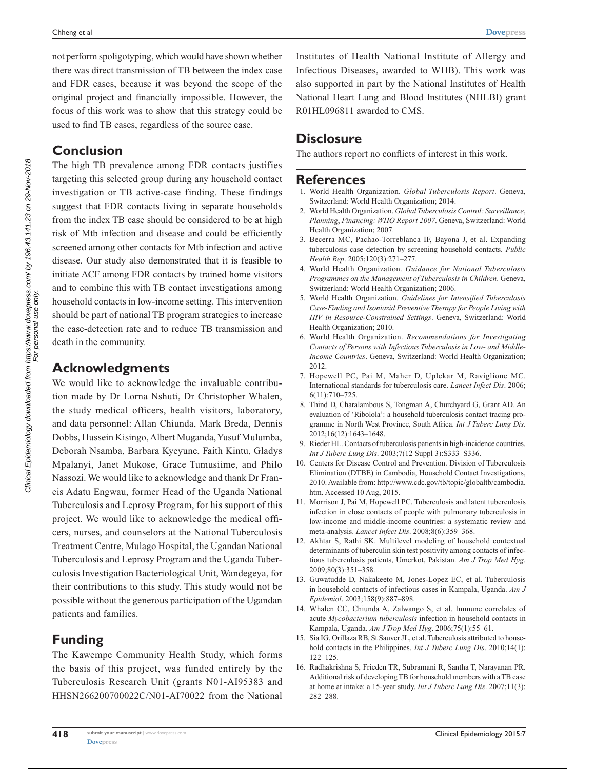not perform spoligotyping, which would have shown whether there was direct transmission of TB between the index case and FDR cases, because it was beyond the scope of the original project and financially impossible. However, the focus of this work was to show that this strategy could be used to find TB cases, regardless of the source case.

# **Conclusion**

The high TB prevalence among FDR contacts justifies targeting this selected group during any household contact investigation or TB active-case finding. These findings suggest that FDR contacts living in separate households from the index TB case should be considered to be at high risk of Mtb infection and disease and could be efficiently screened among other contacts for Mtb infection and active disease. Our study also demonstrated that it is feasible to initiate ACF among FDR contacts by trained home visitors and to combine this with TB contact investigations among household contacts in low-income setting. This intervention should be part of national TB program strategies to increase the case-detection rate and to reduce TB transmission and death in the community.

## **Acknowledgments**

We would like to acknowledge the invaluable contribution made by Dr Lorna Nshuti, Dr Christopher Whalen, the study medical officers, health visitors, laboratory, and data personnel: Allan Chiunda, Mark Breda, Dennis Dobbs, Hussein Kisingo, Albert Muganda, Yusuf Mulumba, Deborah Nsamba, Barbara Kyeyune, Faith Kintu, Gladys Mpalanyi, Janet Mukose, Grace Tumusiime, and Philo Nassozi. We would like to acknowledge and thank Dr Francis Adatu Engwau, former Head of the Uganda National Tuberculosis and Leprosy Program, for his support of this project. We would like to acknowledge the medical officers, nurses, and counselors at the National Tuberculosis Treatment Centre, Mulago Hospital, the Ugandan National Tuberculosis and Leprosy Program and the Uganda Tuberculosis Investigation Bacteriological Unit, Wandegeya, for their contributions to this study. This study would not be possible without the generous participation of the Ugandan patients and families.

# **Funding**

The Kawempe Community Health Study, which forms the basis of this project, was funded entirely by the Tuberculosis Research Unit (grants N01-AI95383 and HHSN266200700022C/N01-AI70022 from the National Institutes of Health National Institute of Allergy and Infectious Diseases, awarded to WHB). This work was also supported in part by the National Institutes of Health National Heart Lung and Blood Institutes (NHLBI) grant R01HL096811 awarded to CMS.

# **Disclosure**

The authors report no conflicts of interest in this work.

#### **References**

- 1. World Health Organization. *Global Tuberculosis Report*. Geneva, Switzerland: World Health Organization; 2014.
- 2. World Health Organization. *Global Tuberculosis Control: Surveillance*, *Planning*, *Financing: WHO Report 2007*. Geneva, Switzerland: World Health Organization; 2007.
- 3. Becerra MC, Pachao-Torreblanca IF, Bayona J, et al. Expanding tuberculosis case detection by screening household contacts. *Public Health Rep*. 2005;120(3):271–277.
- 4. World Health Organization. *Guidance for National Tuberculosis Programmes on the Management of Tuberculosis in Children*. Geneva, Switzerland: World Health Organization; 2006.
- 5. World Health Organization. *Guidelines for Intensified Tuberculosis Case-Finding and Isoniazid Preventive Therapy for People Living with HIV in Resource-Constrained Settings*. Geneva, Switzerland: World Health Organization; 2010.
- 6. World Health Organization. *Recommendations for Investigating Contacts of Persons with Infectious Tuberculosis in Low- and Middle-Income Countries*. Geneva, Switzerland: World Health Organization; 2012.
- 7. Hopewell PC, Pai M, Maher D, Uplekar M, Raviglione MC. International standards for tuberculosis care. *Lancet Infect Dis*. 2006; 6(11):710–725.
- 8. Thind D, Charalambous S, Tongman A, Churchyard G, Grant AD. An evaluation of 'Ribolola': a household tuberculosis contact tracing programme in North West Province, South Africa. *Int J Tuberc Lung Dis*. 2012;16(12):1643–1648.
- 9. Rieder HL. Contacts of tuberculosis patients in high-incidence countries. *Int J Tuberc Lung Dis*. 2003;7(12 Suppl 3):S333–S336.
- 10. Centers for Disease Control and Prevention. Division of Tuberculosis Elimination (DTBE) in Cambodia, Household Contact Investigations, 2010. Available from: [http://www.cdc.gov/tb/topic/globaltb/cambodia.](http://www.cdc.gov/tb/topic/globaltb/cambodia.htm) [htm](http://www.cdc.gov/tb/topic/globaltb/cambodia.htm). Accessed 10 Aug, 2015.
- 11. Morrison J, Pai M, Hopewell PC. Tuberculosis and latent tuberculosis infection in close contacts of people with pulmonary tuberculosis in low-income and middle-income countries: a systematic review and meta-analysis. *Lancet Infect Dis*. 2008;8(6):359–368.
- 12. Akhtar S, Rathi SK. Multilevel modeling of household contextual determinants of tuberculin skin test positivity among contacts of infectious tuberculosis patients, Umerkot, Pakistan. *Am J Trop Med Hyg*. 2009;80(3):351–358.
- 13. Guwatudde D, Nakakeeto M, Jones-Lopez EC, et al. Tuberculosis in household contacts of infectious cases in Kampala, Uganda. *Am J Epidemiol*. 2003;158(9):887–898.
- 14. Whalen CC, Chiunda A, Zalwango S, et al. Immune correlates of acute *Mycobacterium tuberculosis* infection in household contacts in Kampala, Uganda. *Am J Trop Med Hyg*. 2006;75(1):55–61.
- 15. Sia IG, Orillaza RB, St Sauver JL, et al. Tuberculosis attributed to household contacts in the Philippines. *Int J Tuberc Lung Dis*. 2010;14(1): 122–125.
- 16. Radhakrishna S, Frieden TR, Subramani R, Santha T, Narayanan PR. Additional risk of developing TB for household members with a TB case at home at intake: a 15-year study. *Int J Tuberc Lung Dis*. 2007;11(3): 282–288.